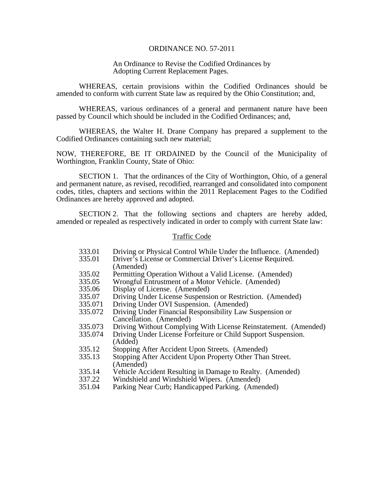#### ORDINANCE NO. 57-2011

## An Ordinance to Revise the Codified Ordinances by Adopting Current Replacement Pages.

 WHEREAS, certain provisions within the Codified Ordinances should be amended to conform with current State law as required by the Ohio Constitution; and,

 WHEREAS, various ordinances of a general and permanent nature have been passed by Council which should be included in the Codified Ordinances; and,

 WHEREAS, the Walter H. Drane Company has prepared a supplement to the Codified Ordinances containing such new material;

NOW, THEREFORE, BE IT ORDAINED by the Council of the Municipality of Worthington, Franklin County, State of Ohio:

 SECTION 1. That the ordinances of the City of Worthington, Ohio, of a general and permanent nature, as revised, recodified, rearranged and consolidated into component codes, titles, chapters and sections within the 2011 Replacement Pages to the Codified Ordinances are hereby approved and adopted.

 SECTION 2. That the following sections and chapters are hereby added, amended or repealed as respectively indicated in order to comply with current State law:

#### Traffic Code

- 333.01 Driving or Physical Control While Under the Influence. (Amended)<br>335.01 Driver's License or Commercial Driver's License Required.
	- Driver's License or Commercial Driver's License Required. (Amended)
- 335.02 Permitting Operation Without a Valid License. (Amended)
- 335.05 Wrongful Entrustment of a Motor Vehicle. (Amended)
- 335.06 Display of License. (Amended)
- 335.07 Driving Under License Suspension or Restriction. (Amended)<br>335.071 Driving Under OVI Suspension. (Amended)
- Driving Under OVI Suspension. (Amended)
- 335.072 Driving Under Financial Responsibility Law Suspension or Cancellation. (Amended)
- 335.073 Driving Without Complying With License Reinstatement. (Amended)
- 335.074 Driving Under License Forfeiture or Child Support Suspension. (Added)
- 335.12 Stopping After Accident Upon Streets. (Amended)
- 335.13 Stopping After Accident Upon Property Other Than Street. (Amended)
- 335.14 Vehicle Accident Resulting in Damage to Realty. (Amended)
- 337.22 Windshield and Windshield Wipers. (Amended)
- 351.04 Parking Near Curb; Handicapped Parking. (Amended)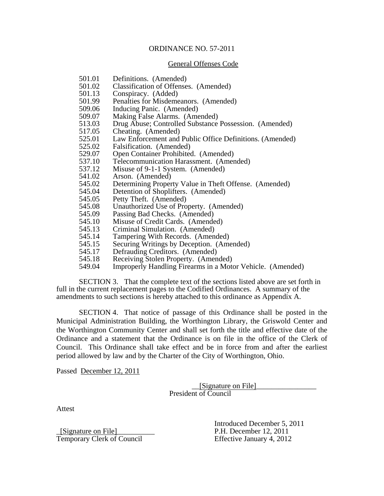### ORDINANCE NO. 57-2011

#### General Offenses Code

- 501.01 Definitions. (Amended)
- 501.02 Classification of Offenses. (Amended)
- 501.13 Conspiracy. (Added)<br>501.99 Penalties for Misdeme
- Penalties for Misdemeanors. (Amended)
- 509.06 Inducing Panic. (Amended)
- 509.07 Making False Alarms. (Amended)
- 513.03 Drug Abuse; Controlled Substance Possession. (Amended)
- 517.05 Cheating. (Amended)
- 525.01 Law Enforcement and Public Office Definitions. (Amended)
- 525.02 Falsification. (Amended)
- 529.07 Open Container Prohibited. (Amended)
- 537.10 Telecommunication Harassment. (Amended)
- 537.12 Misuse of 9-1-1 System. (Amended)
- 541.02 Arson. (Amended)
- 545.02 Determining Property Value in Theft Offense. (Amended)
- 545.04 Detention of Shoplifters. (Amended)
- 545.05 Petty Theft. (Amended)
- 545.08 Unauthorized Use of Property. (Amended)
- 545.09 Passing Bad Checks. (Amended)
- 545.10 Misuse of Credit Cards. (Amended)
- 545.13 Criminal Simulation. (Amended)
- 545.14 Tampering With Records. (Amended)
- 545.15 Securing Writings by Deception. (Amended)
- 545.17 Defrauding Creditors. (Amended)
- 545.18 Receiving Stolen Property. (Amended)
- 549.04 Improperly Handling Firearms in a Motor Vehicle. (Amended)

 SECTION 3. That the complete text of the sections listed above are set forth in full in the current replacement pages to the Codified Ordinances. A summary of the amendments to such sections is hereby attached to this ordinance as Appendix A.

 SECTION 4. That notice of passage of this Ordinance shall be posted in the Municipal Administration Building, the Worthington Library, the Griswold Center and the Worthington Community Center and shall set forth the title and effective date of the Ordinance and a statement that the Ordinance is on file in the office of the Clerk of Council. This Ordinance shall take effect and be in force from and after the earliest period allowed by law and by the Charter of the City of Worthington, Ohio.

Passed December 12, 2011

 \_\_[Signature on File]\_\_\_\_\_\_\_\_\_\_\_\_\_\_\_\_ President of Council

Attest

\_[Signature on File]\_\_\_\_\_\_\_\_\_\_ P.H. December 12, 2011 Temporary Clerk of Council Effective January 4, 2012

Introduced December 5, 2011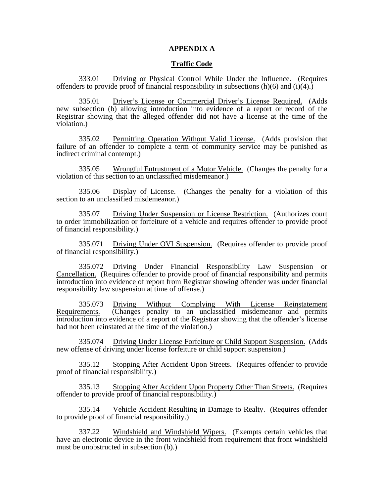### **APPENDIX A**

## **Traffic Code**

 333.01 Driving or Physical Control While Under the Influence. (Requires offenders to provide proof of financial responsibility in subsections  $(h)(6)$  and  $(i)(4)$ .

 335.01 Driver's License or Commercial Driver's License Required. (Adds new subsection (b) allowing introduction into evidence of a report or record of the Registrar showing that the alleged offender did not have a license at the time of the violation.)

 335.02 Permitting Operation Without Valid License. (Adds provision that failure of an offender to complete a term of community service may be punished as indirect criminal contempt.)

 335.05 Wrongful Entrustment of a Motor Vehicle. (Changes the penalty for a violation of this section to an unclassified misdemeanor.)

 335.06 Display of License. (Changes the penalty for a violation of this section to an unclassified misdemeanor.)

 335.07 Driving Under Suspension or License Restriction. (Authorizes court to order immobilization or forfeiture of a vehicle and requires offender to provide proof of financial responsibility.)

 335.071 Driving Under OVI Suspension. (Requires offender to provide proof of financial responsibility.)

 335.072 Driving Under Financial Responsibility Law Suspension or Cancellation. (Requires offender to provide proof of financial responsibility and permits introduction into evidence of report from Registrar showing offender was under financial responsibility law suspension at time of offense.)

 335.073 Driving Without Complying With License Reinstatement Requirements. (Changes penalty to an unclassified misdemeanor and permits introduction into evidence of a report of the Registrar showing that the offender's license had not been reinstated at the time of the violation.)

 335.074 Driving Under License Forfeiture or Child Support Suspension. (Adds new offense of driving under license forfeiture or child support suspension.)

 335.12 Stopping After Accident Upon Streets. (Requires offender to provide proof of financial responsibility.)

 335.13 Stopping After Accident Upon Property Other Than Streets. (Requires offender to provide proof of financial responsibility.)

 335.14 Vehicle Accident Resulting in Damage to Realty. (Requires offender to provide proof of financial responsibility.)

 337.22 Windshield and Windshield Wipers. (Exempts certain vehicles that have an electronic device in the front windshield from requirement that front windshield must be unobstructed in subsection (b).)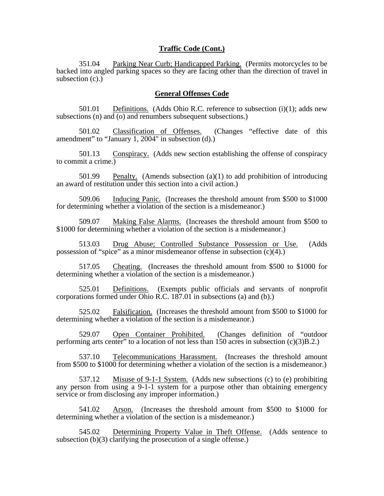## **Traffic Code (Cont.)**

 351.04 Parking Near Curb; Handicapped Parking. (Permits motorcycles to be backed into angled parking spaces so they are facing other than the direction of travel in subsection  $(c)$ .)

# **General Offenses Code**

 501.01 Definitions. (Adds Ohio R.C. reference to subsection (i)(1); adds new subsections (n) and (o) and renumbers subsequent subsections.)

 501.02 Classification of Offenses. (Changes "effective date of this amendment" to "January 1, 2004" in subsection  $(d)$ .)

 501.13 Conspiracy. (Adds new section establishing the offense of conspiracy to commit a crime.)

 501.99 Penalty. (Amends subsection (a)(1) to add prohibition of introducing an award of restitution under this section into a civil action.)

 509.06 Inducing Panic. (Increases the threshold amount from \$500 to \$1000 for determining whether a violation of the section is a misdemeanor.)

 509.07 Making False Alarms. (Increases the threshold amount from \$500 to \$1000 for determining whether a violation of the section is a misdemeanor.)

 513.03 Drug Abuse; Controlled Substance Possession or Use. (Adds possession of "spice" as a minor misdemeanor offense in subsection  $(c)(4)$ .)

 517.05 Cheating. (Increases the threshold amount from \$500 to \$1000 for determining whether a violation of the section is a misdemeanor.)

 525.01 Definitions. (Exempts public officials and servants of nonprofit corporations formed under Ohio R.C. 187.01 in subsections (a) and (b).)

 525.02 Falsification. (Increases the threshold amount from \$500 to \$1000 for determining whether a violation of the section is a misdemeanor.)

 529.07 Open Container Prohibited. (Changes definition of "outdoor performing arts center" to a location of not less than 150 acres in subsection (c)(3)B.2.)

 537.10 Telecommunications Harassment. (Increases the threshold amount from \$500 to \$1000 for determining whether a violation of the section is a misdemeanor.)

 537.12 Misuse of 9-1-1 System. (Adds new subsections (c) to (e) prohibiting any person from using a 9-1-1 system for a purpose other than obtaining emergency service or from disclosing any improper information.)

 541.02 Arson. (Increases the threshold amount from \$500 to \$1000 for determining whether a violation of the section is a misdemeanor.)

 545.02 Determining Property Value in Theft Offense. (Adds sentence to subsection  $(b)(3)$  clarifying the prosecution of a single offense.)